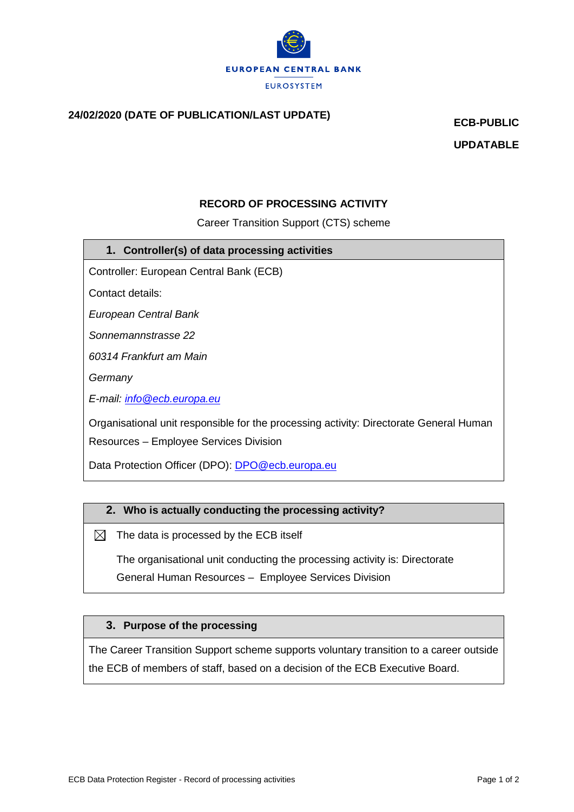

# **24/02/2020 (DATE OF PUBLICATION/LAST UPDATE) ECB-PUBLIC**

**UPDATABLE**

### **RECORD OF PROCESSING ACTIVITY**

Career Transition Support (CTS) scheme

#### **1. Controller(s) of data processing activities**

Controller: European Central Bank (ECB)

Contact details:

*European Central Bank*

*Sonnemannstrasse 22*

*60314 Frankfurt am Main*

*Germany*

*E-mail: [info@ecb.europa.eu](mailto:info@ecb.europa.eu)*

Organisational unit responsible for the processing activity: Directorate General Human Resources – Employee Services Division

Data Protection Officer (DPO): [DPO@ecb.europa.eu](mailto:DPO@ecb.europa.eu)

#### **2. Who is actually conducting the processing activity?**

 $\boxtimes$  The data is processed by the ECB itself

The organisational unit conducting the processing activity is: Directorate General Human Resources – Employee Services Division

#### **3. Purpose of the processing**

The Career Transition Support scheme supports voluntary transition to a career outside the ECB of members of staff, based on a decision of the ECB Executive Board.